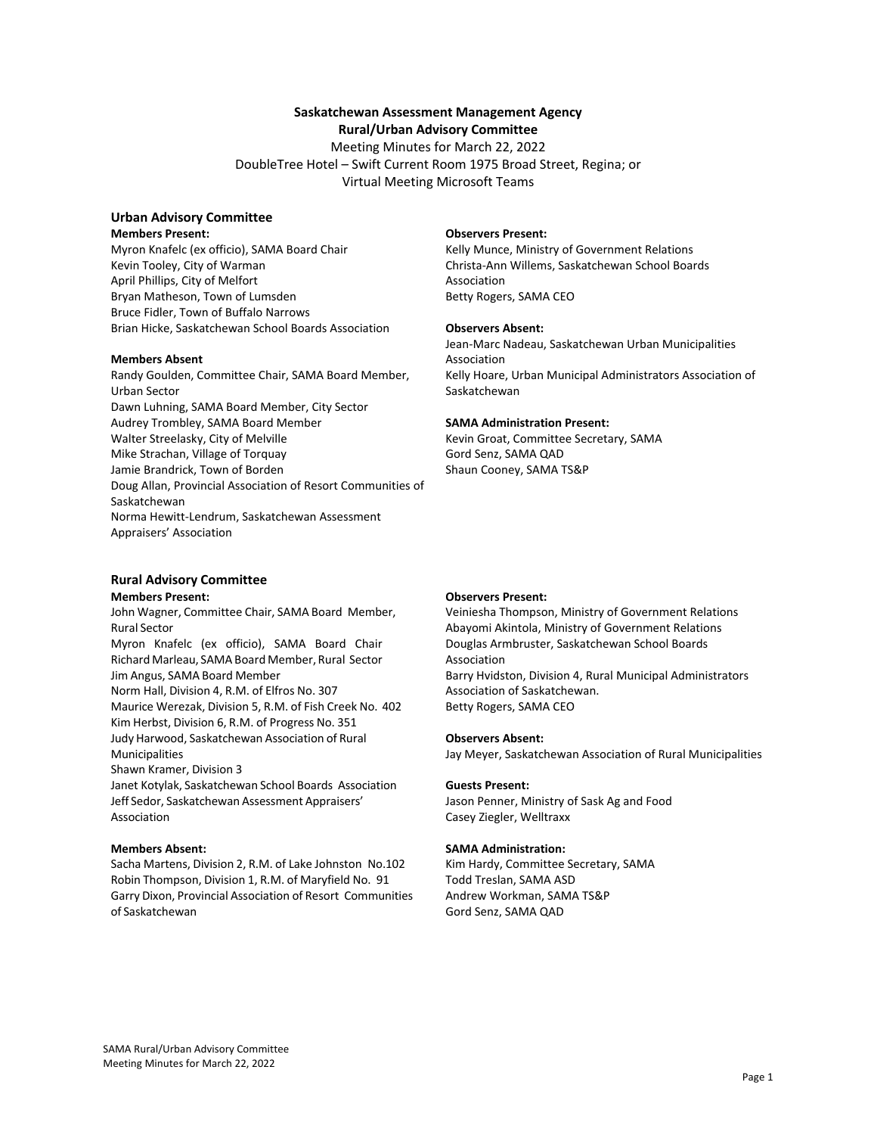## **Saskatchewan Assessment Management Agency**

**Rural/Urban Advisory Committee** 

Meeting Minutes for March 22, 2022 DoubleTree Hotel – Swift Current Room 1975 Broad Street, Regina; or Virtual Meeting Microsoft Teams

# **Urban Advisory Committee**

**Members Present:** 

Myron Knafelc (ex officio), SAMA Board Chair Kevin Tooley, City of Warman April Phillips, City of Melfort Bryan Matheson, Town of Lumsden Bruce Fidler, Town of Buffalo Narrows Brian Hicke, Saskatchewan School Boards Association

### **Members Absent**

Randy Goulden, Committee Chair, SAMA Board Member, Urban Sector Dawn Luhning, SAMA Board Member, City Sector Audrey Trombley, SAMA Board Member Walter Streelasky, City of Melville Mike Strachan, Village of Torquay Jamie Brandrick, Town of Borden Doug Allan, Provincial Association of Resort Communities of Saskatchewan Norma Hewitt‐Lendrum, Saskatchewan Assessment Appraisers' Association

# **Rural Advisory Committee**

#### **Members Present:**

John Wagner, Committee Chair, SAMA Board Member, Rural Sector Myron Knafelc (ex officio), SAMA Board Chair Richard Marleau, SAMA Board Member, Rural Sector Jim Angus, SAMA Board Member Norm Hall, Division 4, R.M. of Elfros No. 307 Maurice Werezak, Division 5, R.M. of Fish Creek No. 402 Kim Herbst, Division 6, R.M. of Progress No. 351 Judy Harwood, Saskatchewan Association of Rural Municipalities Shawn Kramer, Division 3 Janet Kotylak, Saskatchewan School Boards Association Jeff Sedor, Saskatchewan Assessment Appraisers' Association

### **Members Absent:**

Sacha Martens, Division 2, R.M. of Lake Johnston No.102 Robin Thompson, Division 1, R.M. of Maryfield No. 91 Garry Dixon, Provincial Association of Resort Communities of Saskatchewan

#### **Observers Present:**

Kelly Munce, Ministry of Government Relations Christa‐Ann Willems, Saskatchewan School Boards Association Betty Rogers, SAMA CEO

#### **Observers Absent:**

Jean‐Marc Nadeau, Saskatchewan Urban Municipalities Association Kelly Hoare, Urban Municipal Administrators Association of Saskatchewan

#### **SAMA Administration Present:**

Kevin Groat, Committee Secretary, SAMA Gord Senz, SAMA QAD Shaun Cooney, SAMA TS&P

### **Observers Present:**

Veiniesha Thompson, Ministry of Government Relations Abayomi Akintola, Ministry of Government Relations Douglas Armbruster, Saskatchewan School Boards Association Barry Hvidston, Division 4, Rural Municipal Administrators Association of Saskatchewan. Betty Rogers, SAMA CEO

#### **Observers Absent:**

Jay Meyer, Saskatchewan Association of Rural Municipalities

#### **Guests Present:**

Jason Penner, Ministry of Sask Ag and Food Casey Ziegler, Welltraxx

#### **SAMA Administration:**

Kim Hardy, Committee Secretary, SAMA Todd Treslan, SAMA ASD Andrew Workman, SAMA TS&P Gord Senz, SAMA QAD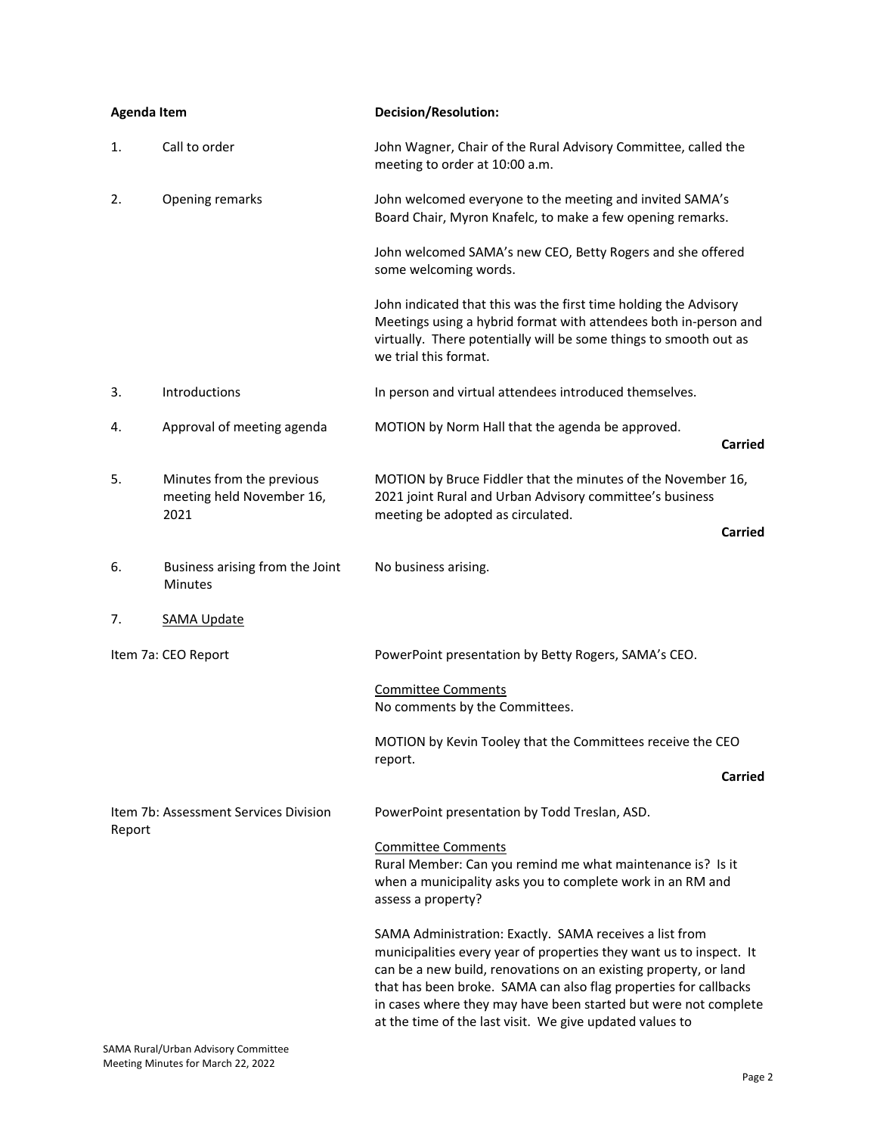| <b>Agenda Item</b>                              |                                                                | <b>Decision/Resolution:</b>                                                                                                                                                                                                                                                                                                                                                                           |
|-------------------------------------------------|----------------------------------------------------------------|-------------------------------------------------------------------------------------------------------------------------------------------------------------------------------------------------------------------------------------------------------------------------------------------------------------------------------------------------------------------------------------------------------|
| 1.                                              | Call to order                                                  | John Wagner, Chair of the Rural Advisory Committee, called the<br>meeting to order at 10:00 a.m.                                                                                                                                                                                                                                                                                                      |
| 2.                                              | Opening remarks                                                | John welcomed everyone to the meeting and invited SAMA's<br>Board Chair, Myron Knafelc, to make a few opening remarks.                                                                                                                                                                                                                                                                                |
|                                                 |                                                                | John welcomed SAMA's new CEO, Betty Rogers and she offered<br>some welcoming words.                                                                                                                                                                                                                                                                                                                   |
|                                                 |                                                                | John indicated that this was the first time holding the Advisory<br>Meetings using a hybrid format with attendees both in-person and<br>virtually. There potentially will be some things to smooth out as<br>we trial this format.                                                                                                                                                                    |
| 3.                                              | Introductions                                                  | In person and virtual attendees introduced themselves.                                                                                                                                                                                                                                                                                                                                                |
| 4.                                              | Approval of meeting agenda                                     | MOTION by Norm Hall that the agenda be approved.<br>Carried                                                                                                                                                                                                                                                                                                                                           |
| 5.                                              | Minutes from the previous<br>meeting held November 16,<br>2021 | MOTION by Bruce Fiddler that the minutes of the November 16,<br>2021 joint Rural and Urban Advisory committee's business<br>meeting be adopted as circulated.                                                                                                                                                                                                                                         |
|                                                 |                                                                | Carried                                                                                                                                                                                                                                                                                                                                                                                               |
| 6.                                              | Business arising from the Joint<br>Minutes                     | No business arising.                                                                                                                                                                                                                                                                                                                                                                                  |
| 7.                                              | <b>SAMA Update</b>                                             |                                                                                                                                                                                                                                                                                                                                                                                                       |
|                                                 | Item 7a: CEO Report                                            | PowerPoint presentation by Betty Rogers, SAMA's CEO.                                                                                                                                                                                                                                                                                                                                                  |
|                                                 |                                                                | <b>Committee Comments</b><br>No comments by the Committees.                                                                                                                                                                                                                                                                                                                                           |
|                                                 |                                                                | MOTION by Kevin Tooley that the Committees receive the CEO<br>report.                                                                                                                                                                                                                                                                                                                                 |
|                                                 |                                                                | Carried                                                                                                                                                                                                                                                                                                                                                                                               |
| Item 7b: Assessment Services Division<br>Report |                                                                | PowerPoint presentation by Todd Treslan, ASD.                                                                                                                                                                                                                                                                                                                                                         |
|                                                 |                                                                | <b>Committee Comments</b><br>Rural Member: Can you remind me what maintenance is? Is it<br>when a municipality asks you to complete work in an RM and<br>assess a property?                                                                                                                                                                                                                           |
|                                                 |                                                                | SAMA Administration: Exactly. SAMA receives a list from<br>municipalities every year of properties they want us to inspect. It<br>can be a new build, renovations on an existing property, or land<br>that has been broke. SAMA can also flag properties for callbacks<br>in cases where they may have been started but were not complete<br>at the time of the last visit. We give updated values to |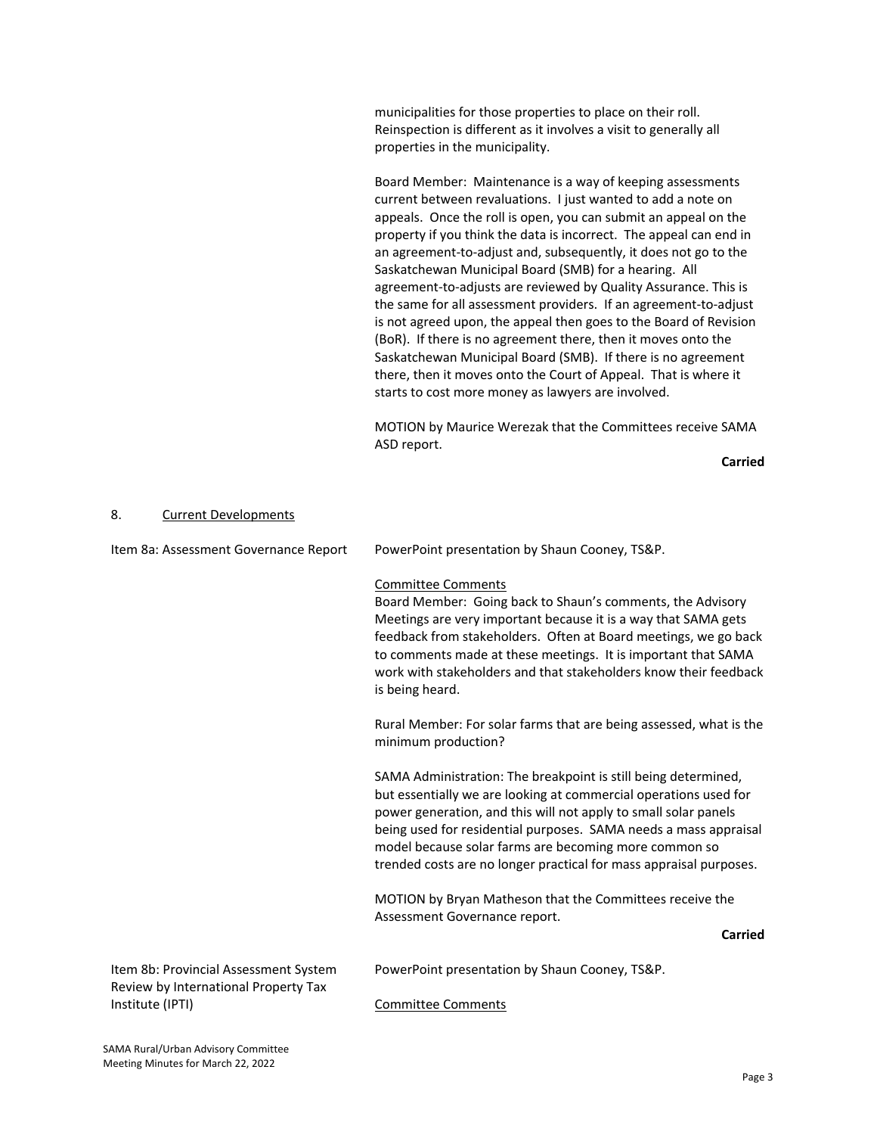municipalities for those properties to place on their roll. Reinspection is different as it involves a visit to generally all properties in the municipality.

Board Member: Maintenance is a way of keeping assessments current between revaluations. I just wanted to add a note on appeals. Once the roll is open, you can submit an appeal on the property if you think the data is incorrect. The appeal can end in an agreement-to-adjust and, subsequently, it does not go to the Saskatchewan Municipal Board (SMB) for a hearing. All agreement‐to‐adjusts are reviewed by Quality Assurance. This is the same for all assessment providers. If an agreement‐to‐adjust is not agreed upon, the appeal then goes to the Board of Revision (BoR). If there is no agreement there, then it moves onto the Saskatchewan Municipal Board (SMB). If there is no agreement there, then it moves onto the Court of Appeal. That is where it starts to cost more money as lawyers are involved.

MOTION by Maurice Werezak that the Committees receive SAMA ASD report.

**Carried**

#### 8. Current Developments

| Item 8a: Assessment Governance Report                                         | PowerPoint presentation by Shaun Cooney, TS&P.                                                                                                                                                                                                                                                                                                                                                           |
|-------------------------------------------------------------------------------|----------------------------------------------------------------------------------------------------------------------------------------------------------------------------------------------------------------------------------------------------------------------------------------------------------------------------------------------------------------------------------------------------------|
|                                                                               | <b>Committee Comments</b><br>Board Member: Going back to Shaun's comments, the Advisory<br>Meetings are very important because it is a way that SAMA gets<br>feedback from stakeholders. Often at Board meetings, we go back<br>to comments made at these meetings. It is important that SAMA<br>work with stakeholders and that stakeholders know their feedback<br>is being heard.                     |
|                                                                               | Rural Member: For solar farms that are being assessed, what is the<br>minimum production?                                                                                                                                                                                                                                                                                                                |
|                                                                               | SAMA Administration: The breakpoint is still being determined,<br>but essentially we are looking at commercial operations used for<br>power generation, and this will not apply to small solar panels<br>being used for residential purposes. SAMA needs a mass appraisal<br>model because solar farms are becoming more common so<br>trended costs are no longer practical for mass appraisal purposes. |
|                                                                               | MOTION by Bryan Matheson that the Committees receive the<br>Assessment Governance report.                                                                                                                                                                                                                                                                                                                |
|                                                                               | <b>Carried</b>                                                                                                                                                                                                                                                                                                                                                                                           |
| Item 8b: Provincial Assessment System<br>Review by International Property Tax | PowerPoint presentation by Shaun Cooney, TS&P.                                                                                                                                                                                                                                                                                                                                                           |
| Institute (IPTI)                                                              | <b>Committee Comments</b>                                                                                                                                                                                                                                                                                                                                                                                |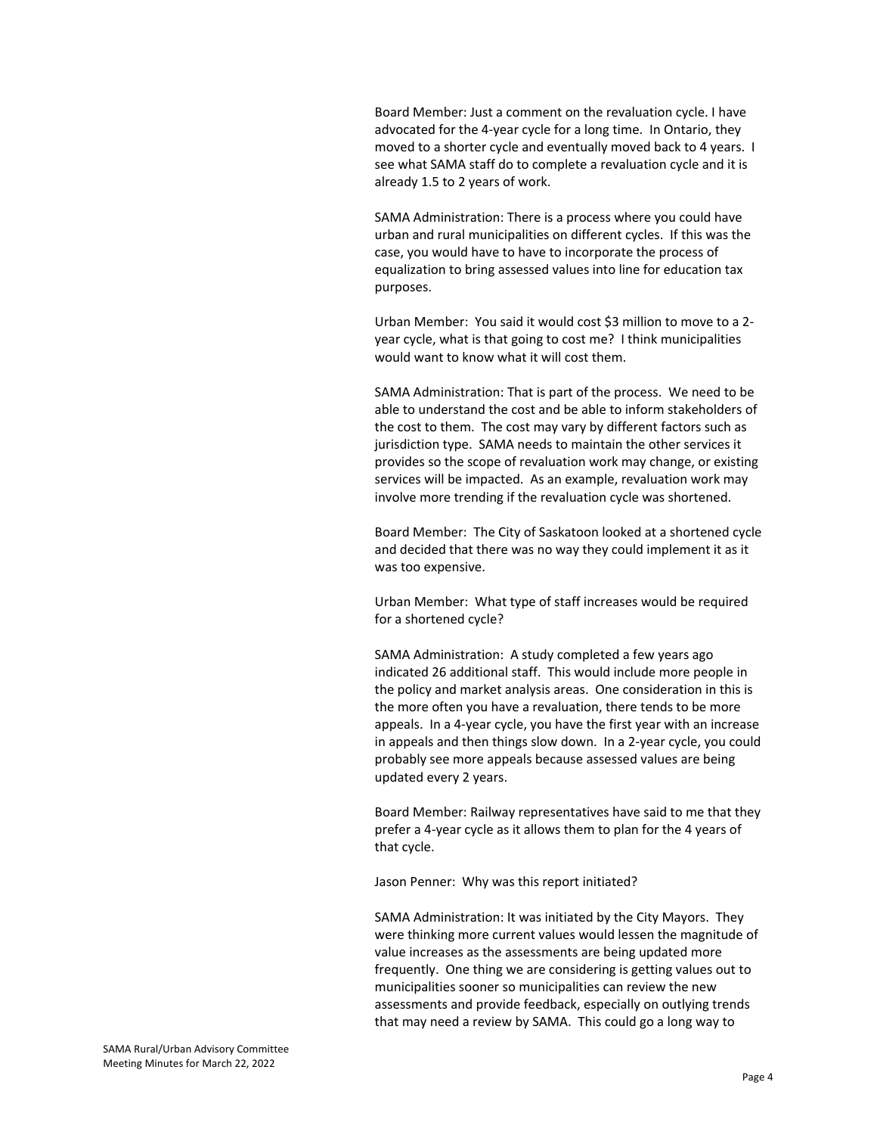Board Member: Just a comment on the revaluation cycle. I have advocated for the 4‐year cycle for a long time. In Ontario, they moved to a shorter cycle and eventually moved back to 4 years. I see what SAMA staff do to complete a revaluation cycle and it is already 1.5 to 2 years of work.

SAMA Administration: There is a process where you could have urban and rural municipalities on different cycles. If this was the case, you would have to have to incorporate the process of equalization to bring assessed values into line for education tax purposes.

Urban Member: You said it would cost \$3 million to move to a 2‐ year cycle, what is that going to cost me? I think municipalities would want to know what it will cost them.

SAMA Administration: That is part of the process. We need to be able to understand the cost and be able to inform stakeholders of the cost to them. The cost may vary by different factors such as jurisdiction type. SAMA needs to maintain the other services it provides so the scope of revaluation work may change, or existing services will be impacted. As an example, revaluation work may involve more trending if the revaluation cycle was shortened.

Board Member: The City of Saskatoon looked at a shortened cycle and decided that there was no way they could implement it as it was too expensive.

Urban Member: What type of staff increases would be required for a shortened cycle?

SAMA Administration: A study completed a few years ago indicated 26 additional staff. This would include more people in the policy and market analysis areas. One consideration in this is the more often you have a revaluation, there tends to be more appeals. In a 4‐year cycle, you have the first year with an increase in appeals and then things slow down. In a 2‐year cycle, you could probably see more appeals because assessed values are being updated every 2 years.

Board Member: Railway representatives have said to me that they prefer a 4‐year cycle as it allows them to plan for the 4 years of that cycle.

Jason Penner: Why was this report initiated?

SAMA Administration: It was initiated by the City Mayors. They were thinking more current values would lessen the magnitude of value increases as the assessments are being updated more frequently. One thing we are considering is getting values out to municipalities sooner so municipalities can review the new assessments and provide feedback, especially on outlying trends that may need a review by SAMA. This could go a long way to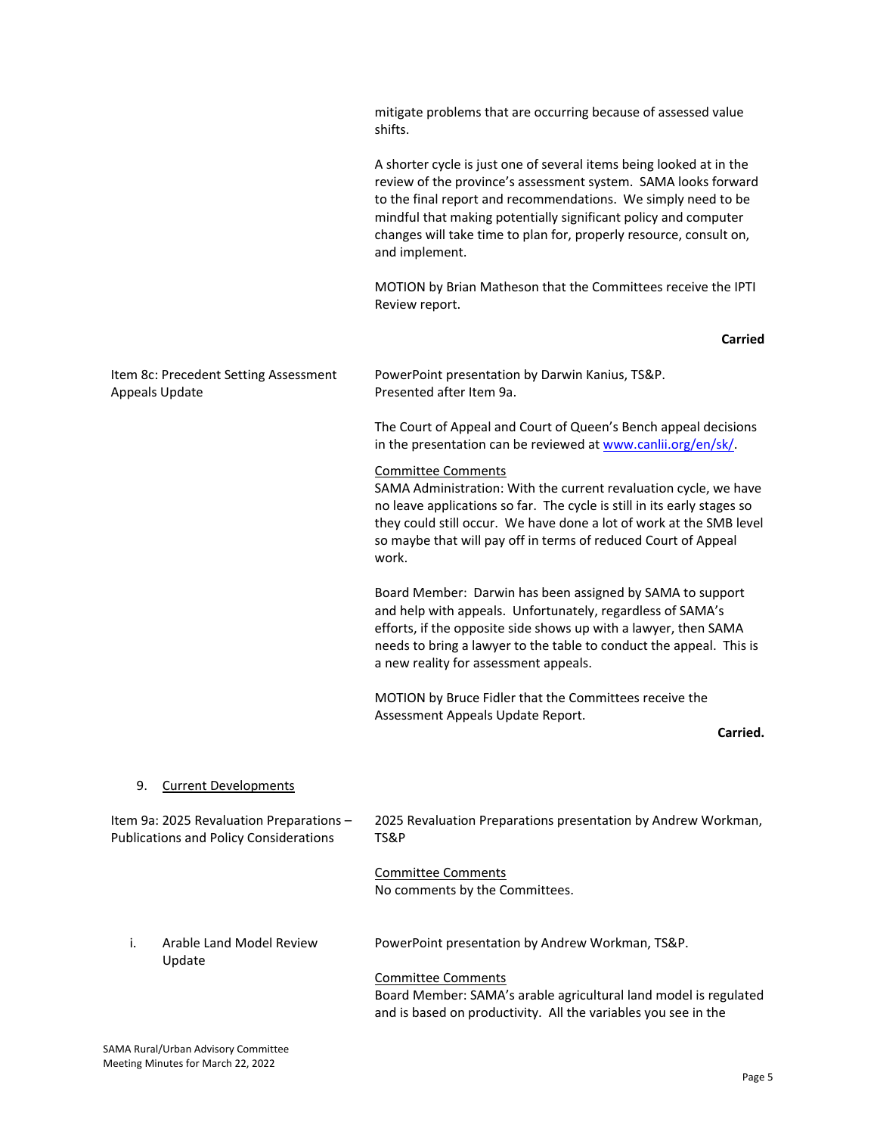|                                                                                           | mitigate problems that are occurring because of assessed value<br>shifts.                                                                                                                                                                                                                                                                                         |
|-------------------------------------------------------------------------------------------|-------------------------------------------------------------------------------------------------------------------------------------------------------------------------------------------------------------------------------------------------------------------------------------------------------------------------------------------------------------------|
|                                                                                           | A shorter cycle is just one of several items being looked at in the<br>review of the province's assessment system. SAMA looks forward<br>to the final report and recommendations. We simply need to be<br>mindful that making potentially significant policy and computer<br>changes will take time to plan for, properly resource, consult on,<br>and implement. |
|                                                                                           | MOTION by Brian Matheson that the Committees receive the IPTI<br>Review report.                                                                                                                                                                                                                                                                                   |
|                                                                                           | Carried                                                                                                                                                                                                                                                                                                                                                           |
| Item 8c: Precedent Setting Assessment<br>Appeals Update                                   | PowerPoint presentation by Darwin Kanius, TS&P.<br>Presented after Item 9a.                                                                                                                                                                                                                                                                                       |
|                                                                                           | The Court of Appeal and Court of Queen's Bench appeal decisions<br>in the presentation can be reviewed at www.canlii.org/en/sk/                                                                                                                                                                                                                                   |
|                                                                                           | <b>Committee Comments</b><br>SAMA Administration: With the current revaluation cycle, we have<br>no leave applications so far. The cycle is still in its early stages so<br>they could still occur. We have done a lot of work at the SMB level<br>so maybe that will pay off in terms of reduced Court of Appeal<br>work.                                        |
|                                                                                           | Board Member: Darwin has been assigned by SAMA to support<br>and help with appeals. Unfortunately, regardless of SAMA's<br>efforts, if the opposite side shows up with a lawyer, then SAMA<br>needs to bring a lawyer to the table to conduct the appeal. This is<br>a new reality for assessment appeals.                                                        |
|                                                                                           | MOTION by Bruce Fidler that the Committees receive the<br>Assessment Appeals Update Report.<br>Carried.                                                                                                                                                                                                                                                           |
|                                                                                           |                                                                                                                                                                                                                                                                                                                                                                   |
| <b>Current Developments</b><br>9.                                                         |                                                                                                                                                                                                                                                                                                                                                                   |
| Item 9a: 2025 Revaluation Preparations -<br><b>Publications and Policy Considerations</b> | 2025 Revaluation Preparations presentation by Andrew Workman,<br>TS&P                                                                                                                                                                                                                                                                                             |
|                                                                                           | <b>Committee Comments</b><br>No comments by the Committees.                                                                                                                                                                                                                                                                                                       |
| Arable Land Model Review<br>i.<br>Update                                                  | PowerPoint presentation by Andrew Workman, TS&P.                                                                                                                                                                                                                                                                                                                  |
|                                                                                           | <b>Committee Comments</b><br>Board Member: SAMA's arable agricultural land model is regulated<br>and is based on productivity. All the variables you see in the                                                                                                                                                                                                   |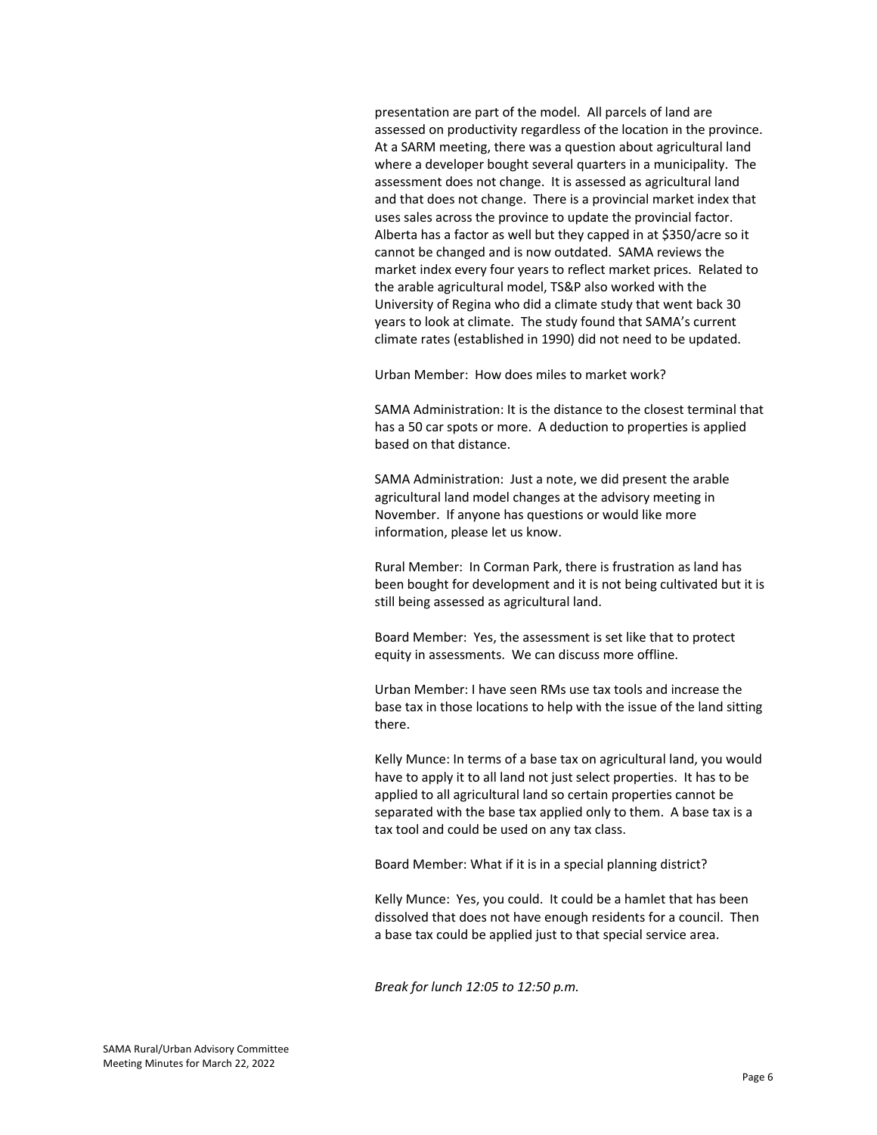presentation are part of the model. All parcels of land are assessed on productivity regardless of the location in the province. At a SARM meeting, there was a question about agricultural land where a developer bought several quarters in a municipality. The assessment does not change. It is assessed as agricultural land and that does not change. There is a provincial market index that uses sales across the province to update the provincial factor. Alberta has a factor as well but they capped in at \$350/acre so it cannot be changed and is now outdated. SAMA reviews the market index every four years to reflect market prices. Related to the arable agricultural model, TS&P also worked with the University of Regina who did a climate study that went back 30 years to look at climate. The study found that SAMA's current climate rates (established in 1990) did not need to be updated.

Urban Member: How does miles to market work?

SAMA Administration: It is the distance to the closest terminal that has a 50 car spots or more. A deduction to properties is applied based on that distance.

SAMA Administration: Just a note, we did present the arable agricultural land model changes at the advisory meeting in November. If anyone has questions or would like more information, please let us know.

Rural Member: In Corman Park, there is frustration as land has been bought for development and it is not being cultivated but it is still being assessed as agricultural land.

Board Member: Yes, the assessment is set like that to protect equity in assessments. We can discuss more offline.

Urban Member: I have seen RMs use tax tools and increase the base tax in those locations to help with the issue of the land sitting there.

Kelly Munce: In terms of a base tax on agricultural land, you would have to apply it to all land not just select properties. It has to be applied to all agricultural land so certain properties cannot be separated with the base tax applied only to them. A base tax is a tax tool and could be used on any tax class.

Board Member: What if it is in a special planning district?

Kelly Munce: Yes, you could. It could be a hamlet that has been dissolved that does not have enough residents for a council. Then a base tax could be applied just to that special service area.

*Break for lunch 12:05 to 12:50 p.m.*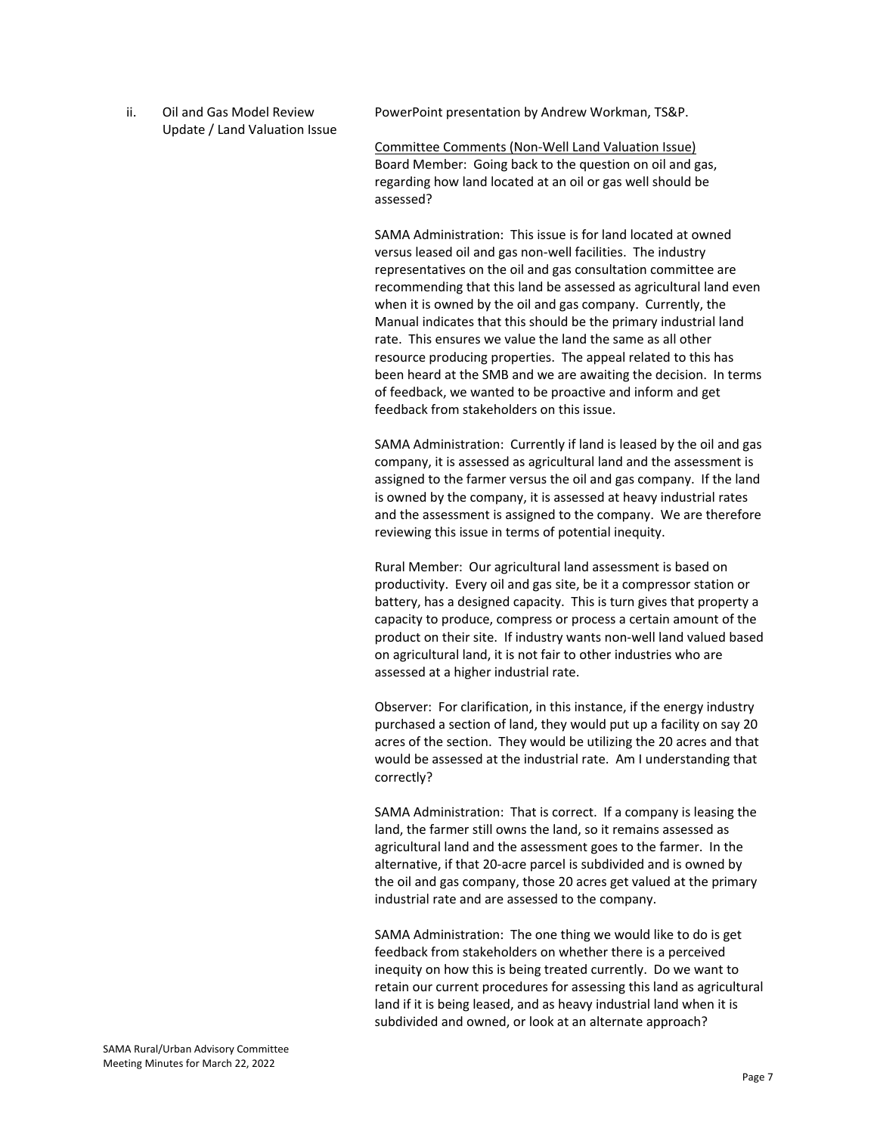ii. Oil and Gas Model Review Update / Land Valuation Issue PowerPoint presentation by Andrew Workman, TS&P.

Committee Comments (Non‐Well Land Valuation Issue) Board Member: Going back to the question on oil and gas, regarding how land located at an oil or gas well should be assessed?

SAMA Administration: This issue is for land located at owned versus leased oil and gas non‐well facilities. The industry representatives on the oil and gas consultation committee are recommending that this land be assessed as agricultural land even when it is owned by the oil and gas company. Currently, the Manual indicates that this should be the primary industrial land rate. This ensures we value the land the same as all other resource producing properties. The appeal related to this has been heard at the SMB and we are awaiting the decision. In terms of feedback, we wanted to be proactive and inform and get feedback from stakeholders on this issue.

SAMA Administration: Currently if land is leased by the oil and gas company, it is assessed as agricultural land and the assessment is assigned to the farmer versus the oil and gas company. If the land is owned by the company, it is assessed at heavy industrial rates and the assessment is assigned to the company. We are therefore reviewing this issue in terms of potential inequity.

Rural Member: Our agricultural land assessment is based on productivity. Every oil and gas site, be it a compressor station or battery, has a designed capacity. This is turn gives that property a capacity to produce, compress or process a certain amount of the product on their site. If industry wants non‐well land valued based on agricultural land, it is not fair to other industries who are assessed at a higher industrial rate.

Observer: For clarification, in this instance, if the energy industry purchased a section of land, they would put up a facility on say 20 acres of the section. They would be utilizing the 20 acres and that would be assessed at the industrial rate. Am I understanding that correctly?

SAMA Administration: That is correct. If a company is leasing the land, the farmer still owns the land, so it remains assessed as agricultural land and the assessment goes to the farmer. In the alternative, if that 20‐acre parcel is subdivided and is owned by the oil and gas company, those 20 acres get valued at the primary industrial rate and are assessed to the company.

SAMA Administration: The one thing we would like to do is get feedback from stakeholders on whether there is a perceived inequity on how this is being treated currently. Do we want to retain our current procedures for assessing this land as agricultural land if it is being leased, and as heavy industrial land when it is subdivided and owned, or look at an alternate approach?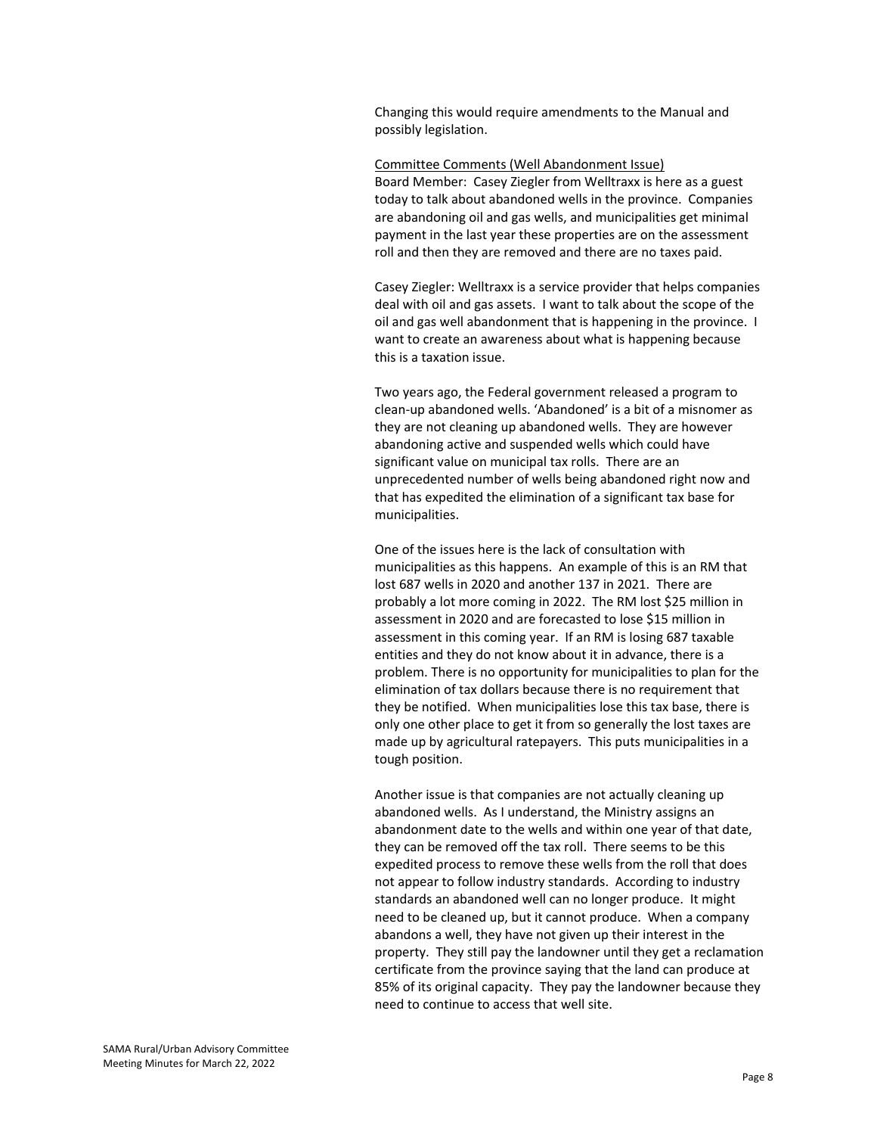Changing this would require amendments to the Manual and possibly legislation.

#### Committee Comments (Well Abandonment Issue)

Board Member: Casey Ziegler from Welltraxx is here as a guest today to talk about abandoned wells in the province. Companies are abandoning oil and gas wells, and municipalities get minimal payment in the last year these properties are on the assessment roll and then they are removed and there are no taxes paid.

Casey Ziegler: Welltraxx is a service provider that helps companies deal with oil and gas assets. I want to talk about the scope of the oil and gas well abandonment that is happening in the province. I want to create an awareness about what is happening because this is a taxation issue.

Two years ago, the Federal government released a program to clean‐up abandoned wells. 'Abandoned' is a bit of a misnomer as they are not cleaning up abandoned wells. They are however abandoning active and suspended wells which could have significant value on municipal tax rolls. There are an unprecedented number of wells being abandoned right now and that has expedited the elimination of a significant tax base for municipalities.

One of the issues here is the lack of consultation with municipalities as this happens. An example of this is an RM that lost 687 wells in 2020 and another 137 in 2021. There are probably a lot more coming in 2022. The RM lost \$25 million in assessment in 2020 and are forecasted to lose \$15 million in assessment in this coming year. If an RM is losing 687 taxable entities and they do not know about it in advance, there is a problem. There is no opportunity for municipalities to plan for the elimination of tax dollars because there is no requirement that they be notified. When municipalities lose this tax base, there is only one other place to get it from so generally the lost taxes are made up by agricultural ratepayers. This puts municipalities in a tough position.

Another issue is that companies are not actually cleaning up abandoned wells. As I understand, the Ministry assigns an abandonment date to the wells and within one year of that date, they can be removed off the tax roll. There seems to be this expedited process to remove these wells from the roll that does not appear to follow industry standards. According to industry standards an abandoned well can no longer produce. It might need to be cleaned up, but it cannot produce. When a company abandons a well, they have not given up their interest in the property. They still pay the landowner until they get a reclamation certificate from the province saying that the land can produce at 85% of its original capacity. They pay the landowner because they need to continue to access that well site.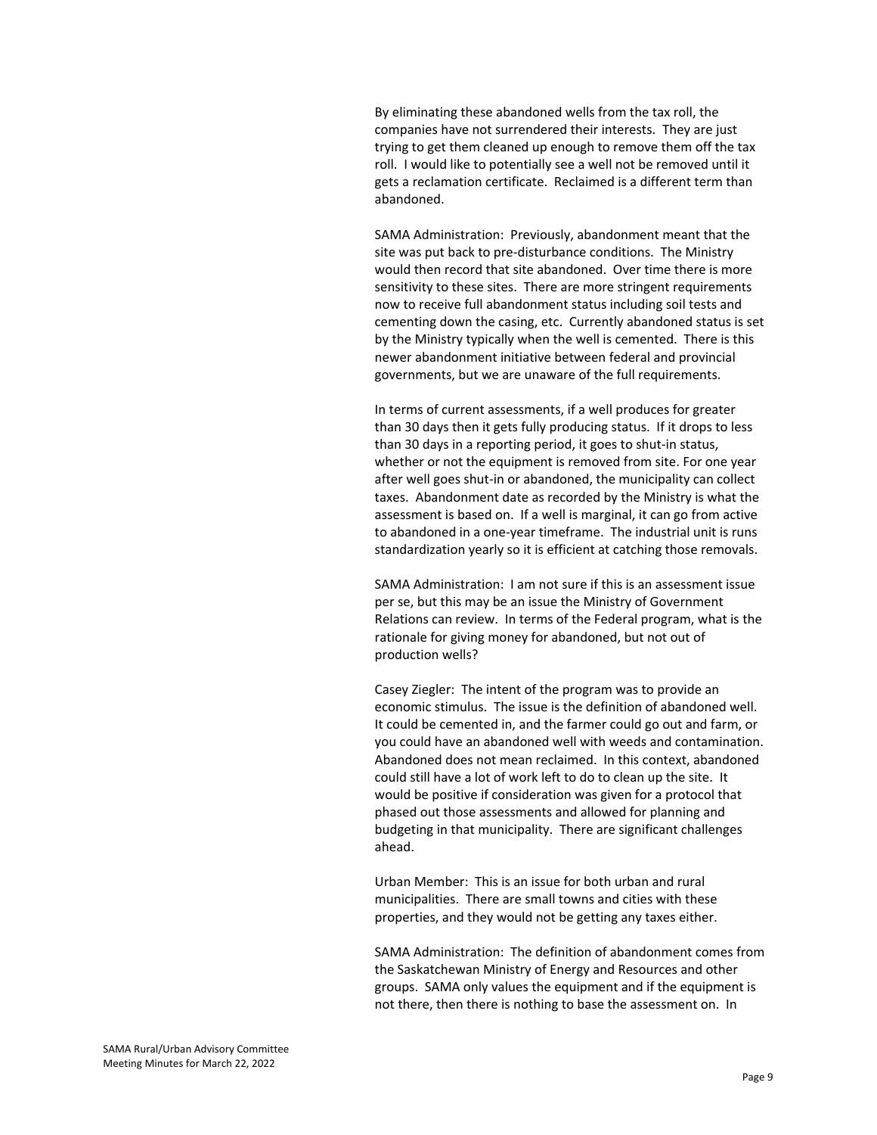By eliminating these abandoned wells from the tax roll, the companies have not surrendered their interests. They are just trying to get them cleaned up enough to remove them off the tax roll. I would like to potentially see a well not be removed until it gets a reclamation certificate. Reclaimed is a different term than abandoned.

SAMA Administration: Previously, abandonment meant that the site was put back to pre‐disturbance conditions. The Ministry would then record that site abandoned. Over time there is more sensitivity to these sites. There are more stringent requirements now to receive full abandonment status including soil tests and cementing down the casing, etc. Currently abandoned status is set by the Ministry typically when the well is cemented. There is this newer abandonment initiative between federal and provincial governments, but we are unaware of the full requirements.

In terms of current assessments, if a well produces for greater than 30 days then it gets fully producing status. If it drops to less than 30 days in a reporting period, it goes to shut‐in status, whether or not the equipment is removed from site. For one year after well goes shut-in or abandoned, the municipality can collect taxes. Abandonment date as recorded by the Ministry is what the assessment is based on. If a well is marginal, it can go from active to abandoned in a one‐year timeframe. The industrial unit is runs standardization yearly so it is efficient at catching those removals.

SAMA Administration: I am not sure if this is an assessment issue per se, but this may be an issue the Ministry of Government Relations can review. In terms of the Federal program, what is the rationale for giving money for abandoned, but not out of production wells?

Casey Ziegler: The intent of the program was to provide an economic stimulus. The issue is the definition of abandoned well. It could be cemented in, and the farmer could go out and farm, or you could have an abandoned well with weeds and contamination. Abandoned does not mean reclaimed. In this context, abandoned could still have a lot of work left to do to clean up the site. It would be positive if consideration was given for a protocol that phased out those assessments and allowed for planning and budgeting in that municipality. There are significant challenges ahead.

Urban Member: This is an issue for both urban and rural municipalities. There are small towns and cities with these properties, and they would not be getting any taxes either.

SAMA Administration: The definition of abandonment comes from the Saskatchewan Ministry of Energy and Resources and other groups. SAMA only values the equipment and if the equipment is not there, then there is nothing to base the assessment on. In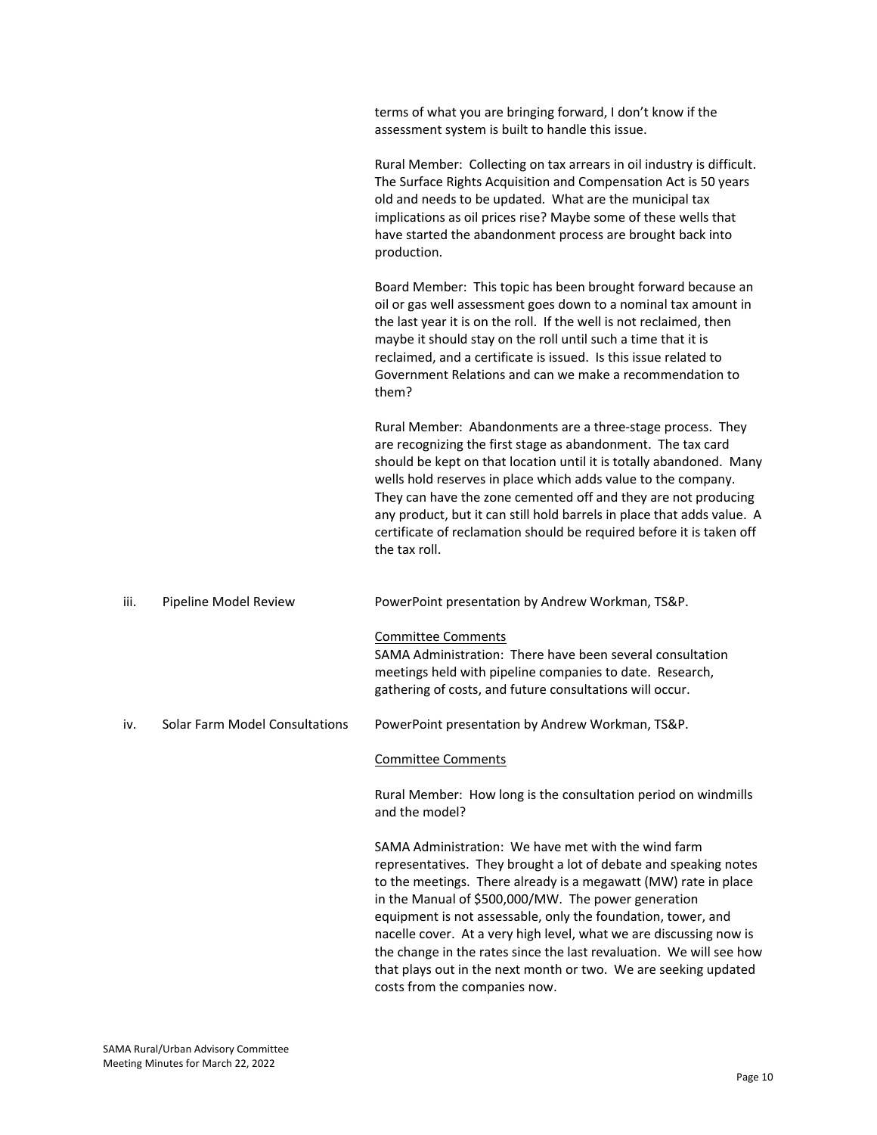|      |                                | terms of what you are bringing forward, I don't know if the<br>assessment system is built to handle this issue.                                                                                                                                                                                                                                                                                                                                                                                                                                                    |
|------|--------------------------------|--------------------------------------------------------------------------------------------------------------------------------------------------------------------------------------------------------------------------------------------------------------------------------------------------------------------------------------------------------------------------------------------------------------------------------------------------------------------------------------------------------------------------------------------------------------------|
|      |                                | Rural Member: Collecting on tax arrears in oil industry is difficult.<br>The Surface Rights Acquisition and Compensation Act is 50 years<br>old and needs to be updated. What are the municipal tax<br>implications as oil prices rise? Maybe some of these wells that<br>have started the abandonment process are brought back into<br>production.                                                                                                                                                                                                                |
|      |                                | Board Member: This topic has been brought forward because an<br>oil or gas well assessment goes down to a nominal tax amount in<br>the last year it is on the roll. If the well is not reclaimed, then<br>maybe it should stay on the roll until such a time that it is<br>reclaimed, and a certificate is issued. Is this issue related to<br>Government Relations and can we make a recommendation to<br>them?                                                                                                                                                   |
|      |                                | Rural Member: Abandonments are a three-stage process. They<br>are recognizing the first stage as abandonment. The tax card<br>should be kept on that location until it is totally abandoned. Many<br>wells hold reserves in place which adds value to the company.<br>They can have the zone cemented off and they are not producing<br>any product, but it can still hold barrels in place that adds value. A<br>certificate of reclamation should be required before it is taken off<br>the tax roll.                                                            |
| iii. | Pipeline Model Review          | PowerPoint presentation by Andrew Workman, TS&P.                                                                                                                                                                                                                                                                                                                                                                                                                                                                                                                   |
|      |                                | <b>Committee Comments</b><br>SAMA Administration: There have been several consultation<br>meetings held with pipeline companies to date. Research,<br>gathering of costs, and future consultations will occur.                                                                                                                                                                                                                                                                                                                                                     |
| iv.  | Solar Farm Model Consultations | PowerPoint presentation by Andrew Workman, TS&P.                                                                                                                                                                                                                                                                                                                                                                                                                                                                                                                   |
|      |                                | <b>Committee Comments</b>                                                                                                                                                                                                                                                                                                                                                                                                                                                                                                                                          |
|      |                                | Rural Member: How long is the consultation period on windmills<br>and the model?                                                                                                                                                                                                                                                                                                                                                                                                                                                                                   |
|      |                                | SAMA Administration: We have met with the wind farm<br>representatives. They brought a lot of debate and speaking notes<br>to the meetings. There already is a megawatt (MW) rate in place<br>in the Manual of \$500,000/MW. The power generation<br>equipment is not assessable, only the foundation, tower, and<br>nacelle cover. At a very high level, what we are discussing now is<br>the change in the rates since the last revaluation. We will see how<br>that plays out in the next month or two. We are seeking updated<br>costs from the companies now. |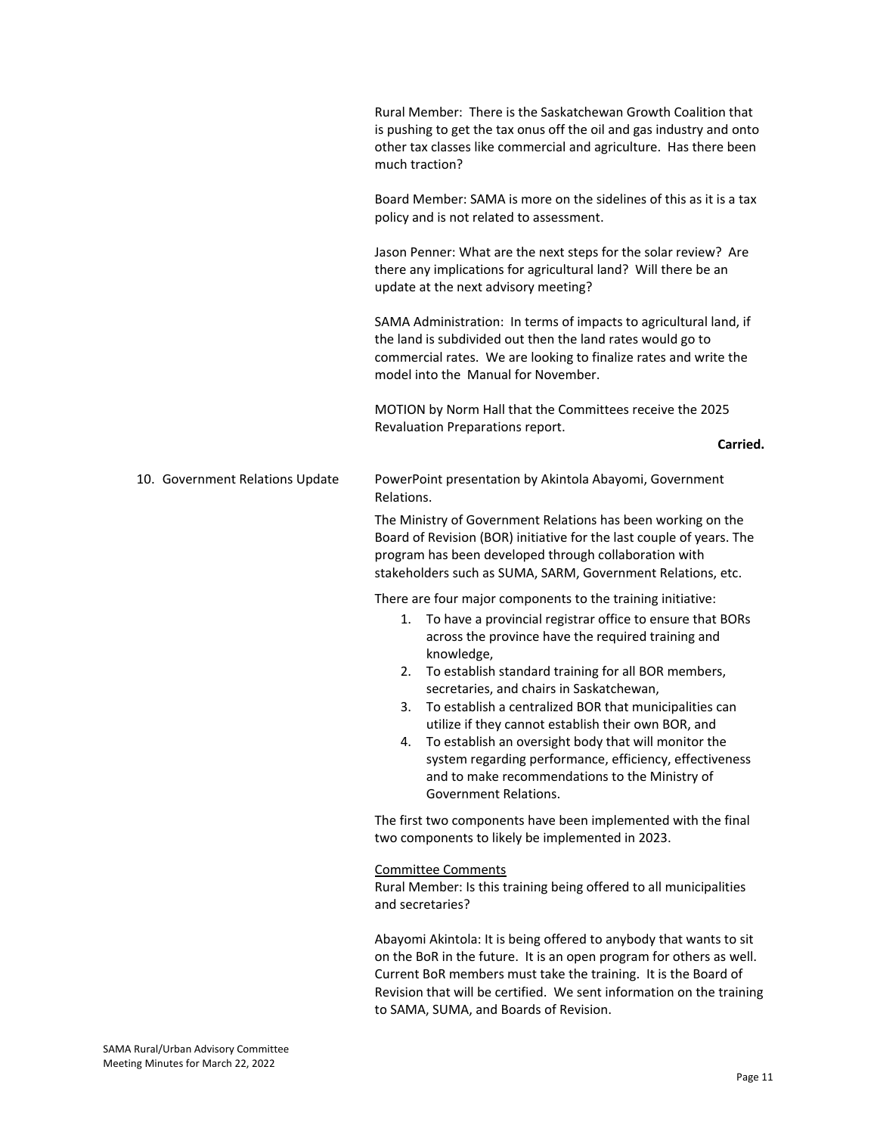|                                 | Rural Member: There is the Saskatchewan Growth Coalition that<br>is pushing to get the tax onus off the oil and gas industry and onto<br>other tax classes like commercial and agriculture. Has there been<br>much traction?                                                                                                                                                                                                                                                                                                                                                                                                  |
|---------------------------------|-------------------------------------------------------------------------------------------------------------------------------------------------------------------------------------------------------------------------------------------------------------------------------------------------------------------------------------------------------------------------------------------------------------------------------------------------------------------------------------------------------------------------------------------------------------------------------------------------------------------------------|
|                                 | Board Member: SAMA is more on the sidelines of this as it is a tax<br>policy and is not related to assessment.                                                                                                                                                                                                                                                                                                                                                                                                                                                                                                                |
|                                 | Jason Penner: What are the next steps for the solar review? Are<br>there any implications for agricultural land? Will there be an<br>update at the next advisory meeting?                                                                                                                                                                                                                                                                                                                                                                                                                                                     |
|                                 | SAMA Administration: In terms of impacts to agricultural land, if<br>the land is subdivided out then the land rates would go to<br>commercial rates. We are looking to finalize rates and write the<br>model into the Manual for November.                                                                                                                                                                                                                                                                                                                                                                                    |
|                                 | MOTION by Norm Hall that the Committees receive the 2025<br>Revaluation Preparations report.<br>Carried.                                                                                                                                                                                                                                                                                                                                                                                                                                                                                                                      |
|                                 |                                                                                                                                                                                                                                                                                                                                                                                                                                                                                                                                                                                                                               |
| 10. Government Relations Update | PowerPoint presentation by Akintola Abayomi, Government<br>Relations.                                                                                                                                                                                                                                                                                                                                                                                                                                                                                                                                                         |
|                                 | The Ministry of Government Relations has been working on the<br>Board of Revision (BOR) initiative for the last couple of years. The<br>program has been developed through collaboration with<br>stakeholders such as SUMA, SARM, Government Relations, etc.                                                                                                                                                                                                                                                                                                                                                                  |
|                                 | There are four major components to the training initiative:<br>1. To have a provincial registrar office to ensure that BORs<br>across the province have the required training and<br>knowledge,<br>2. To establish standard training for all BOR members,<br>secretaries, and chairs in Saskatchewan,<br>To establish a centralized BOR that municipalities can<br>3.<br>utilize if they cannot establish their own BOR, and<br>4. To establish an oversight body that will monitor the<br>system regarding performance, efficiency, effectiveness<br>and to make recommendations to the Ministry of<br>Government Relations. |
|                                 | The first two components have been implemented with the final<br>two components to likely be implemented in 2023.                                                                                                                                                                                                                                                                                                                                                                                                                                                                                                             |
|                                 | <b>Committee Comments</b><br>Rural Member: Is this training being offered to all municipalities<br>and secretaries?                                                                                                                                                                                                                                                                                                                                                                                                                                                                                                           |
|                                 | Abayomi Akintola: It is being offered to anybody that wants to sit<br>on the BoR in the future. It is an open program for others as well.<br>Current BoR members must take the training. It is the Board of<br>Revision that will be certified. We sent information on the training<br>to SAMA, SUMA, and Boards of Revision.                                                                                                                                                                                                                                                                                                 |